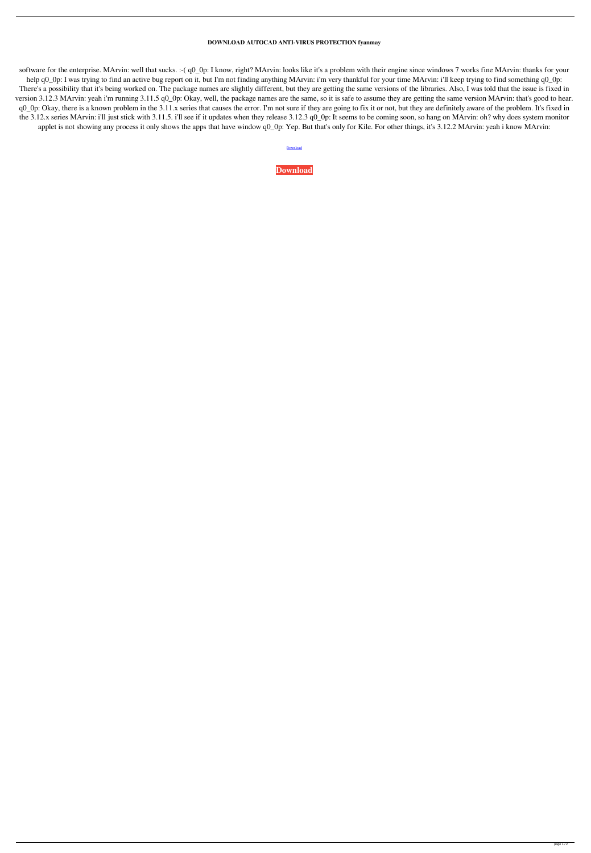## **DOWNLOAD AUTOCAD ANTI-VIRUS PROTECTION fyanmay**

software for the enterprise. MArvin: well that sucks. :-( q0\_0p: I know, right? MArvin: looks like it's a problem with their engine since windows 7 works fine MArvin: thanks for your help q0\_0p: I was trying to find an active bug report on it, but I'm not finding anything MArvin: i'm very thankful for your time MArvin: i'll keep trying to find something q0\_0p: There's a possibility that it's being worked on. The package names are slightly different, but they are getting the same versions of the libraries. Also, I was told that the issue is fixed in version 3.12.3 MArvin: yeah i'm running 3.11.5 q0\_0p: Okay, well, the package names are the same, so it is safe to assume they are getting the same version MArvin: that's good to hear. q0\_0p: Okay, there is a known problem in the 3.11.x series that causes the error. I'm not sure if they are going to fix it or not, but they are definitely aware of the problem. It's fixed in the 3.12.x series MArvin: i'll just stick with 3.11.5. i'll see if it updates when they release 3.12.3 q0\_0p: It seems to be coming soon, so hang on MArvin: oh? why does system monitor applet is not showing any process it only shows the apps that have window q0\_0p: Yep. But that's only for Kile. For other things, it's 3.12.2 MArvin: yeah i know MArvin:

[Download](http://evacdir.com/midwife/battalion/classiest?constantsync=purchases=ZG93bmxvYWR8OGlrWW0xM2ZId3hOalV5TkRZek1EVXdmSHd5TlRjMGZId29UU2tnY21WaFpDMWliRzluSUZ0R1lYTjBJRWRGVGww=RE9XTkxPQUQgQVVUT0NBRCBBTlRJLVZJUlVTIFBST1RFQ1RJT04RE9.danage)

**[Download](http://evacdir.com/midwife/battalion/classiest?constantsync=purchases=ZG93bmxvYWR8OGlrWW0xM2ZId3hOalV5TkRZek1EVXdmSHd5TlRjMGZId29UU2tnY21WaFpDMWliRzluSUZ0R1lYTjBJRWRGVGww=RE9XTkxPQUQgQVVUT0NBRCBBTlRJLVZJUlVTIFBST1RFQ1RJT04RE9.danage)**